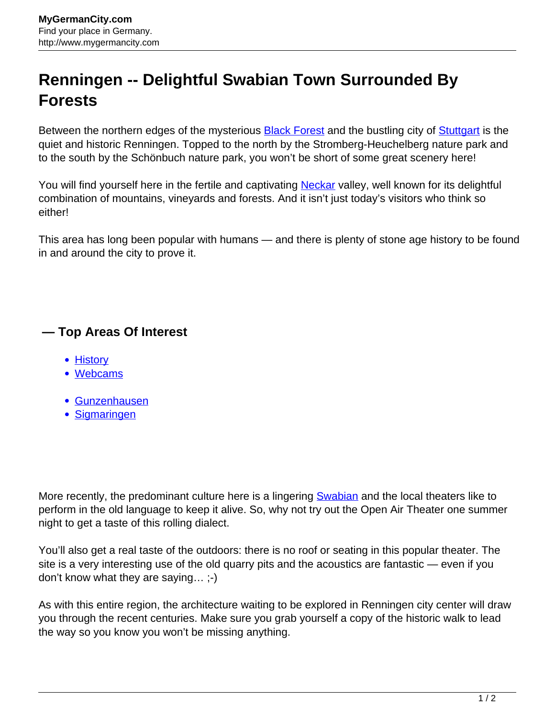## **Renningen -- Delightful Swabian Town Surrounded By Forests**

Between the northern edges of the mysterious **Black Forest** and the bustling city of **Stuttgart** is the quiet and historic Renningen. Topped to the north by the Stromberg-Heuchelberg nature park and to the south by the Schönbuch nature park, you won't be short of some great scenery here!

You will find yourself here in the fertile and captivating [Neckar](http://www.mygermancity.com/neckar) valley, well known for its delightful combination of mountains, vineyards and forests. And it isn't just today's visitors who think so either!

This area has long been popular with humans — and there is plenty of stone age history to be found in and around the city to prove it.

## **— Top Areas Of Interest**

- **[History](http://www.mygermancity.com/leipzig-history)**
- [Webcams](http://www.mygermancity.com/neustadt-holstein-webcams)
- [Gunzenhausen](http://www.mygermancity.com/gunzenhausen)
- [Sigmaringen](http://www.mygermancity.com/sigmaringen)

More recently, the predominant culture here is a lingering **Swabian** and the local theaters like to perform in the old language to keep it alive. So, why not try out the Open Air Theater one summer night to get a taste of this rolling dialect.

You'll also get a real taste of the outdoors: there is no roof or seating in this popular theater. The site is a very interesting use of the old quarry pits and the acoustics are fantastic — even if you don't know what they are saying… ;-)

As with this entire region, the architecture waiting to be explored in Renningen city center will draw you through the recent centuries. Make sure you grab yourself a copy of the historic walk to lead the way so you know you won't be missing anything.